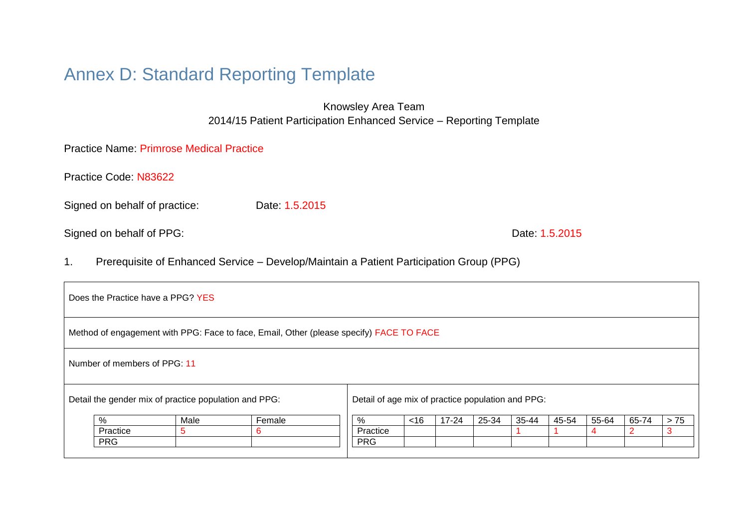# Annex D: Standard Reporting Template

Knowsley Area Team 2014/15 Patient Participation Enhanced Service – Reporting Template

Practice Name: Primrose Medical Practice

Practice Code: N83622

Signed on behalf of practice: Date: 1.5.2015

Signed on behalf of PPG: Date: 1.5.2015

1. Prerequisite of Enhanced Service – Develop/Maintain a Patient Participation Group (PPG)

| Does the Practice have a PPG? YES                                                       |                                                       |                                                   |        |            |     |           |       |       |       |       |       |       |
|-----------------------------------------------------------------------------------------|-------------------------------------------------------|---------------------------------------------------|--------|------------|-----|-----------|-------|-------|-------|-------|-------|-------|
| Method of engagement with PPG: Face to face, Email, Other (please specify) FACE TO FACE |                                                       |                                                   |        |            |     |           |       |       |       |       |       |       |
| Number of members of PPG 11                                                             |                                                       |                                                   |        |            |     |           |       |       |       |       |       |       |
|                                                                                         | Detail the gender mix of practice population and PPG: | Detail of age mix of practice population and PPG: |        |            |     |           |       |       |       |       |       |       |
|                                                                                         | $\frac{0}{0}$                                         | Male                                              | Female | %          | ~16 | $17 - 24$ | 25-34 | 35-44 | 45-54 | 55-64 | 65-74 | $>75$ |
|                                                                                         | Practice                                              |                                                   | 6      | Practice   |     |           |       |       |       | 4     |       |       |
|                                                                                         | <b>PRG</b>                                            |                                                   |        | <b>PRG</b> |     |           |       |       |       |       |       |       |
|                                                                                         |                                                       |                                                   |        |            |     |           |       |       |       |       |       |       |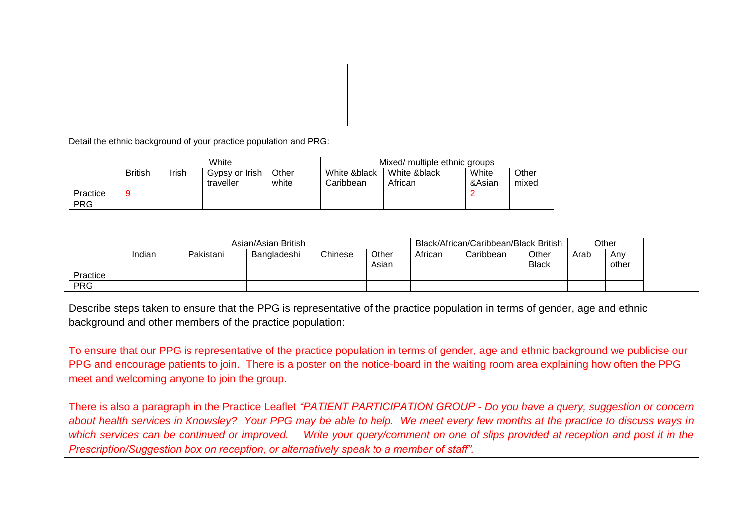Detail the ethnic background of your practice population and PRG:

|            |                |       | White                       |                | Mixed/ multiple ethnic groups |                         |                 |                |  |  |
|------------|----------------|-------|-----------------------------|----------------|-------------------------------|-------------------------|-----------------|----------------|--|--|
|            | <b>British</b> | Irish | Gypsy or Irish<br>traveller | Other<br>white | White &black<br>Caribbean     | White &black<br>African | White<br>&Asian | Other<br>mixed |  |  |
| Practice   | 9              |       |                             |                |                               |                         |                 |                |  |  |
| <b>PRG</b> |                |       |                             |                |                               |                         |                 |                |  |  |

|            | Asian/Asian British |           |             |         |                |         | Black/African/Caribbean/Black British |                       |      |              |
|------------|---------------------|-----------|-------------|---------|----------------|---------|---------------------------------------|-----------------------|------|--------------|
|            | Indian              | Pakistani | Bangladeshi | Chinese | Other<br>Asian | African | Caribbean                             | Other<br><b>Black</b> | Arab | Any<br>other |
| Practice   |                     |           |             |         |                |         |                                       |                       |      |              |
| <b>PRG</b> |                     |           |             |         |                |         |                                       |                       |      |              |

Describe steps taken to ensure that the PPG is representative of the practice population in terms of gender, age and ethnic background and other members of the practice population:

To ensure that our PPG is representative of the practice population in terms of gender, age and ethnic background we publicise our PPG and encourage patients to join. There is a poster on the notice-board in the waiting room area explaining how often the PPG meet and welcoming anyone to join the group.

There is also a paragraph in the Practice Leaflet *"PATIENT PARTICIPATION GROUP - Do you have a query, suggestion or concern about health services in Knowsley? Your PPG may be able to help. We meet every few months at the practice to discuss ways in which services can be continued or improved. Write your query/comment on one of slips provided at reception and post it in the Prescription/Suggestion box on reception, or alternatively speak to a member of staff".*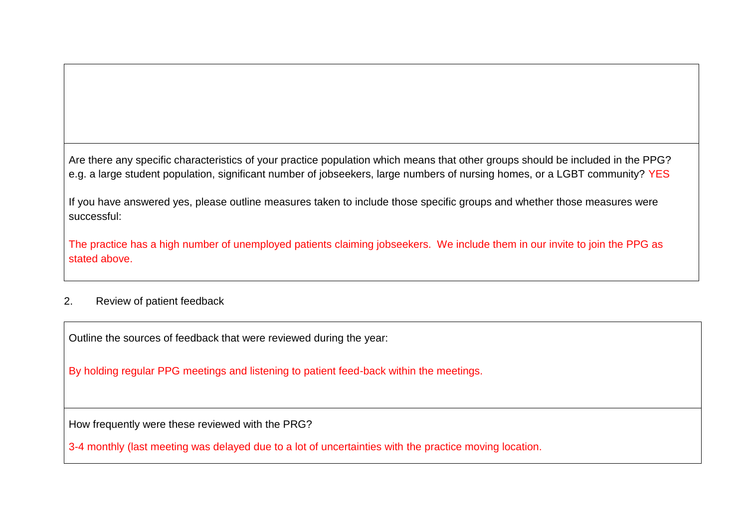Are there any specific characteristics of your practice population which means that other groups should be included in the PPG? e.g. a large student population, significant number of jobseekers, large numbers of nursing homes, or a LGBT community? YES

If you have answered yes, please outline measures taken to include those specific groups and whether those measures were successful:

The practice has a high number of unemployed patients claiming jobseekers. We include them in our invite to join the PPG as stated above.

# 2. Review of patient feedback

Outline the sources of feedback that were reviewed during the year:

By holding regular PPG meetings and listening to patient feed-back within the meetings.

How frequently were these reviewed with the PRG?

3-4 monthly (last meeting was delayed due to a lot of uncertainties with the practice moving location.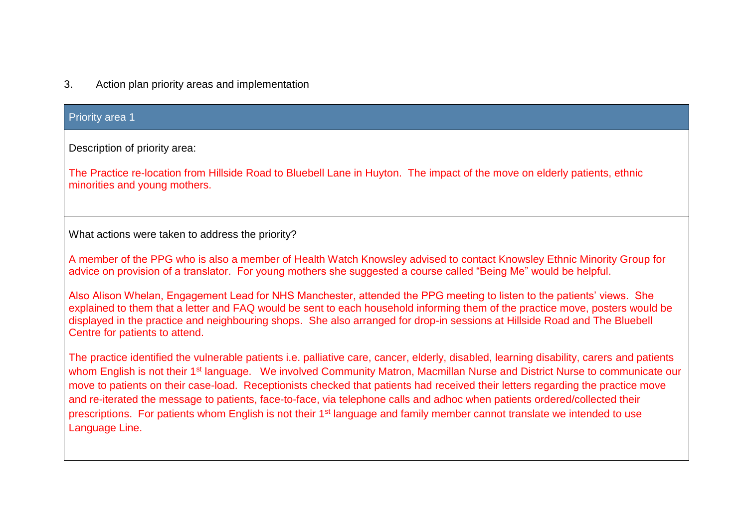## 3. Action plan priority areas and implementation

## Priority area 1

Description of priority area:

The Practice re-location from Hillside Road to Bluebell Lane in Huyton. The impact of the move on elderly patients, ethnic minorities and young mothers.

What actions were taken to address the priority?

A member of the PPG who is also a member of Health Watch Knowsley advised to contact Knowsley Ethnic Minority Group for advice on provision of a translator. For young mothers she suggested a course called "Being Me" would be helpful.

Also Alison Whelan, Engagement Lead for NHS Manchester, attended the PPG meeting to listen to the patients' views. She explained to them that a letter and FAQ would be sent to each household informing them of the practice move, posters would be displayed in the practice and neighbouring shops. She also arranged for drop-in sessions at Hillside Road and The Bluebell Centre for patients to attend.

The practice identified the vulnerable patients i.e. palliative care, cancer, elderly, disabled, learning disability, carers and patients whom English is not their 1<sup>st</sup> language. We involved Community Matron, Macmillan Nurse and District Nurse to communicate our move to patients on their case-load. Receptionists checked that patients had received their letters regarding the practice move and re-iterated the message to patients, face-to-face, via telephone calls and adhoc when patients ordered/collected their prescriptions. For patients whom English is not their 1<sup>st</sup> language and family member cannot translate we intended to use Language Line.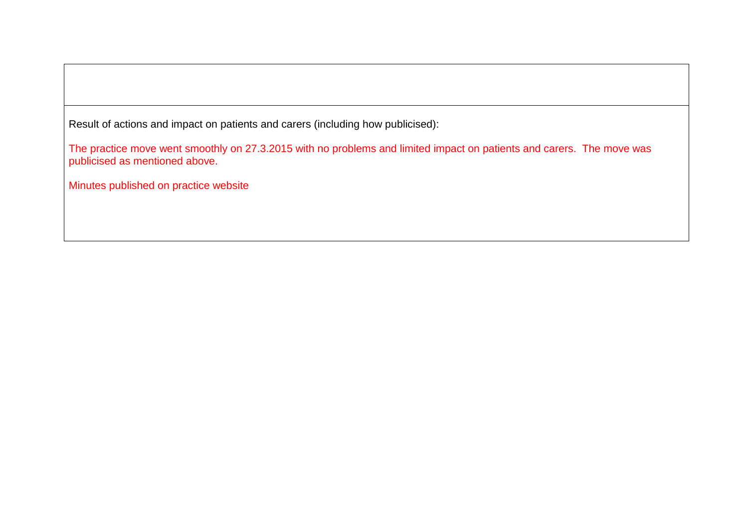Result of actions and impact on patients and carers (including how publicised):

The practice move went smoothly on 27.3.2015 with no problems and limited impact on patients and carers. The move was publicised as mentioned above.

Minutes published on practice website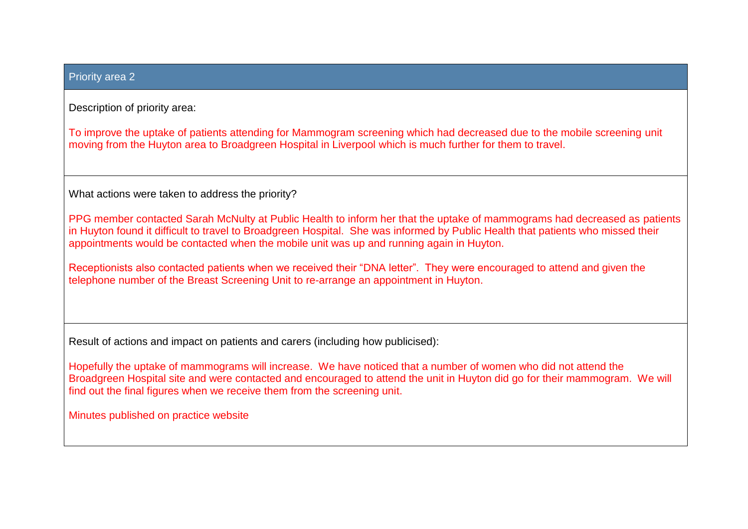#### Priority area 2

Description of priority area:

To improve the uptake of patients attending for Mammogram screening which had decreased due to the mobile screening unit moving from the Huyton area to Broadgreen Hospital in Liverpool which is much further for them to travel.

What actions were taken to address the priority?

PPG member contacted Sarah McNulty at Public Health to inform her that the uptake of mammograms had decreased as patients in Huyton found it difficult to travel to Broadgreen Hospital. She was informed by Public Health that patients who missed their appointments would be contacted when the mobile unit was up and running again in Huyton.

Receptionists also contacted patients when we received their "DNA letter". They were encouraged to attend and given the telephone number of the Breast Screening Unit to re-arrange an appointment in Huyton.

Result of actions and impact on patients and carers (including how publicised):

Hopefully the uptake of mammograms will increase. We have noticed that a number of women who did not attend the Broadgreen Hospital site and were contacted and encouraged to attend the unit in Huyton did go for their mammogram. We will find out the final figures when we receive them from the screening unit.

Minutes published on practice website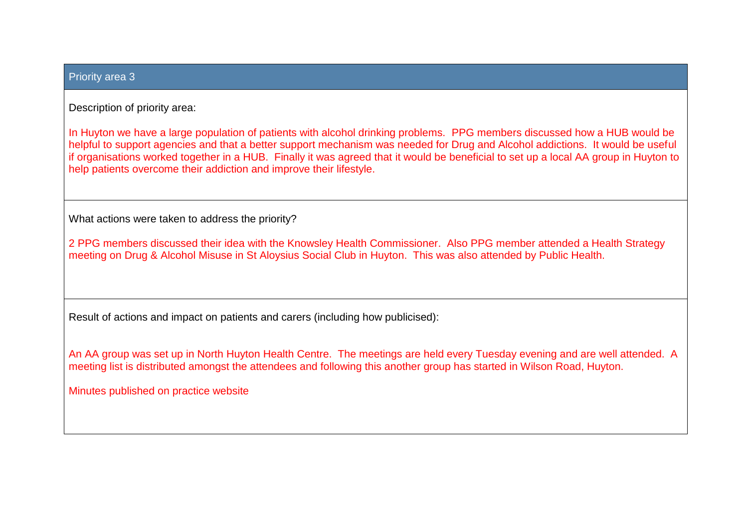#### Priority area 3

Description of priority area:

In Huyton we have a large population of patients with alcohol drinking problems. PPG members discussed how a HUB would be helpful to support agencies and that a better support mechanism was needed for Drug and Alcohol addictions. It would be useful if organisations worked together in a HUB. Finally it was agreed that it would be beneficial to set up a local AA group in Huyton to help patients overcome their addiction and improve their lifestyle.

What actions were taken to address the priority?

2 PPG members discussed their idea with the Knowsley Health Commissioner. Also PPG member attended a Health Strategy meeting on Drug & Alcohol Misuse in St Aloysius Social Club in Huyton. This was also attended by Public Health.

Result of actions and impact on patients and carers (including how publicised):

An AA group was set up in North Huyton Health Centre. The meetings are held every Tuesday evening and are well attended. A meeting list is distributed amongst the attendees and following this another group has started in Wilson Road, Huyton.

Minutes published on practice website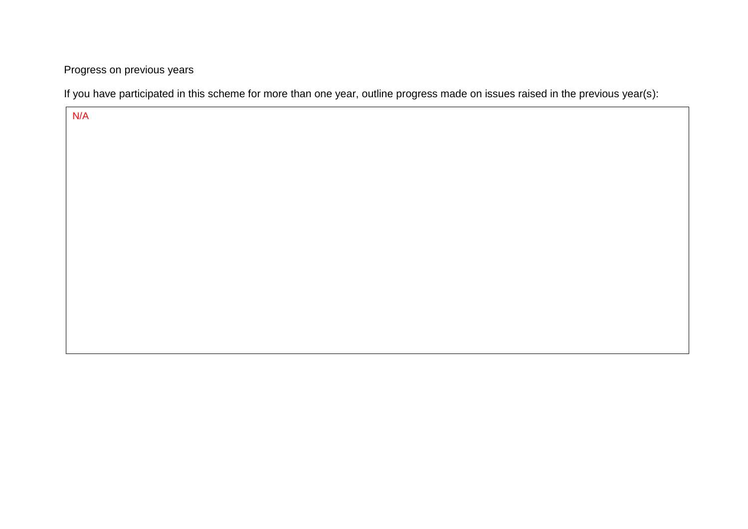Progress on previous years

If you have participated in this scheme for more than one year, outline progress made on issues raised in the previous year(s):

N/A